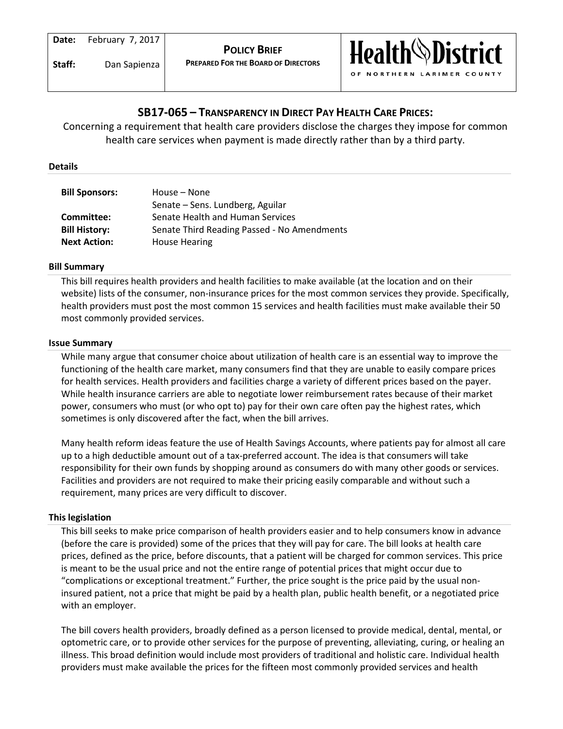

# **SB17-065 – TRANSPARENCY IN DIRECT PAY HEALTH CARE PRICES:**

Concerning a requirement that health care providers disclose the charges they impose for common health care services when payment is made directly rather than by a third party.

### **Details**

| <b>Bill Sponsors:</b> | House - None                                |
|-----------------------|---------------------------------------------|
|                       | Senate – Sens. Lundberg, Aguilar            |
| Committee:            | Senate Health and Human Services            |
| <b>Bill History:</b>  | Senate Third Reading Passed - No Amendments |
| <b>Next Action:</b>   | <b>House Hearing</b>                        |

# **Bill Summary**

This bill requires health providers and health facilities to make available (at the location and on their website) lists of the consumer, non-insurance prices for the most common services they provide. Specifically, health providers must post the most common 15 services and health facilities must make available their 50 most commonly provided services.

# **Issue Summary**

While many argue that consumer choice about utilization of health care is an essential way to improve the functioning of the health care market, many consumers find that they are unable to easily compare prices for health services. Health providers and facilities charge a variety of different prices based on the payer. While health insurance carriers are able to negotiate lower reimbursement rates because of their market power, consumers who must (or who opt to) pay for their own care often pay the highest rates, which sometimes is only discovered after the fact, when the bill arrives.

Many health reform ideas feature the use of Health Savings Accounts, where patients pay for almost all care up to a high deductible amount out of a tax-preferred account. The idea is that consumers will take responsibility for their own funds by shopping around as consumers do with many other goods or services. Facilities and providers are not required to make their pricing easily comparable and without such a requirement, many prices are very difficult to discover.

# **This legislation**

This bill seeks to make price comparison of health providers easier and to help consumers know in advance (before the care is provided) some of the prices that they will pay for care. The bill looks at health care prices, defined as the price, before discounts, that a patient will be charged for common services. This price is meant to be the usual price and not the entire range of potential prices that might occur due to "complications or exceptional treatment." Further, the price sought is the price paid by the usual noninsured patient, not a price that might be paid by a health plan, public health benefit, or a negotiated price with an employer.

The bill covers health providers, broadly defined as a person licensed to provide medical, dental, mental, or optometric care, or to provide other services for the purpose of preventing, alleviating, curing, or healing an illness. This broad definition would include most providers of traditional and holistic care. Individual health providers must make available the prices for the fifteen most commonly provided services and health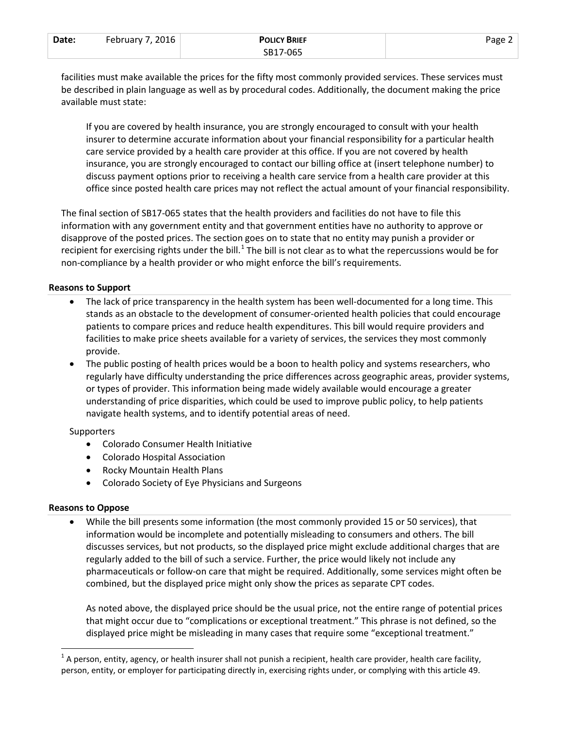| Date: | February 7, 2016 | <b>POLICY BRIEF</b> | Page $\angle$ |
|-------|------------------|---------------------|---------------|
|       |                  | SB17-065            |               |

facilities must make available the prices for the fifty most commonly provided services. These services must be described in plain language as well as by procedural codes. Additionally, the document making the price available must state:

If you are covered by health insurance, you are strongly encouraged to consult with your health insurer to determine accurate information about your financial responsibility for a particular health care service provided by a health care provider at this office. If you are not covered by health insurance, you are strongly encouraged to contact our billing office at (insert telephone number) to discuss payment options prior to receiving a health care service from a health care provider at this office since posted health care prices may not reflect the actual amount of your financial responsibility.

The final section of SB17-065 states that the health providers and facilities do not have to file this information with any government entity and that government entities have no authority to approve or disapprove of the posted prices. The section goes on to state that no entity may punish a provider or recipient for exercising rights under the bill.<sup>[1](#page-1-0)</sup> The bill is not clear as to what the repercussions would be for non-compliance by a health provider or who might enforce the bill's requirements.

# **Reasons to Support**

- The lack of price transparency in the health system has been well-documented for a long time. This stands as an obstacle to the development of consumer-oriented health policies that could encourage patients to compare prices and reduce health expenditures. This bill would require providers and facilities to make price sheets available for a variety of services, the services they most commonly provide.
- The public posting of health prices would be a boon to health policy and systems researchers, who regularly have difficulty understanding the price differences across geographic areas, provider systems, or types of provider. This information being made widely available would encourage a greater understanding of price disparities, which could be used to improve public policy, to help patients navigate health systems, and to identify potential areas of need.

#### **Supporters**

- Colorado Consumer Health Initiative
- Colorado Hospital Association
- Rocky Mountain Health Plans
- Colorado Society of Eye Physicians and Surgeons

# **Reasons to Oppose**

• While the bill presents some information (the most commonly provided 15 or 50 services), that information would be incomplete and potentially misleading to consumers and others. The bill discusses services, but not products, so the displayed price might exclude additional charges that are regularly added to the bill of such a service. Further, the price would likely not include any pharmaceuticals or follow-on care that might be required. Additionally, some services might often be combined, but the displayed price might only show the prices as separate CPT codes.

As noted above, the displayed price should be the usual price, not the entire range of potential prices that might occur due to "complications or exceptional treatment." This phrase is not defined, so the displayed price might be misleading in many cases that require some "exceptional treatment."

<span id="page-1-0"></span> $1$  A person, entity, agency, or health insurer shall not punish a recipient, health care provider, health care facility, person, entity, or employer for participating directly in, exercising rights under, or complying with this article 49.